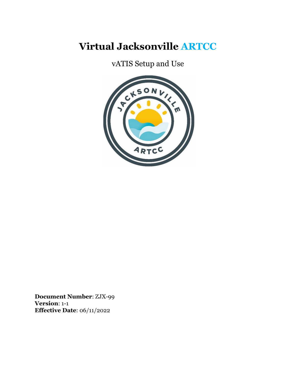# **Virtual Jacksonville ARTCC**

vATIS Setup and Use



**Document Number**: ZJX-99 **Version**: 1-1 **Effective Date**: 06/11/2022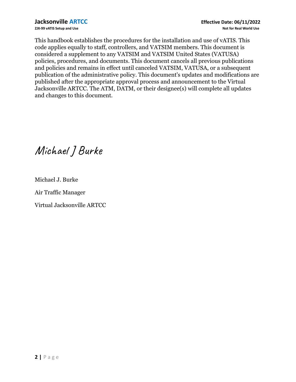This handbook establishes the procedures for the installation and use of vATIS. This code applies equally to staff, controllers, and VATSIM members. This document is considered a supplement to any VATSIM and VATSIM United States (VATUSA) policies, procedures, and documents. This document cancels all previous publications and policies and remains in effect until canceled VATSIM, VATUSA, or a subsequent publication of the administrative policy. This document's updates and modifications are published after the appropriate approval process and announcement to the Virtual Jacksonville ARTCC. The ATM, DATM, or their designee(s) will complete all updates and changes to this document.

Michael JBurke

Michael J. Burke

Air Traffic Manager

Virtual Jacksonville ARTCC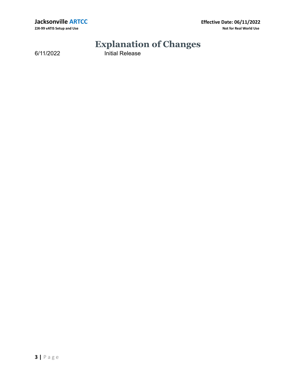**Jacksonville ARTCC Effective Date: 06/11/2022 ZJX-99 vATIS Setup and Use Not for Real World Use**

# **Explanation of Changes**

6/11/2022 Initial Release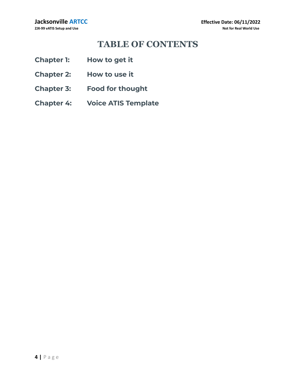# **TABLE OF CONTENTS**

- **Chapter 1: How to get it**
- **Chapter 2: How to use it**
- **Chapter 3: Food for thought**
- **Chapter 4: Voice ATIS Template**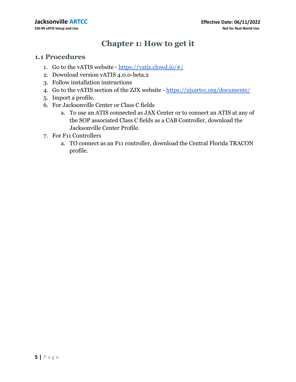# **Chapter 1: How to get it**

#### **1.1 Procedures**

- 1. Go to the vATIS website  $\frac{https://vatis.clowd.io/\#/}{$
- 2. Download version vATIS 4.0.0-beta.2
- 3. Follow installation instructions
- 4. Go to the vATIS section of the ZJX website <https://zjxartcc.org/documents/>
- 5. Import a profile.
- 6. For Jacksonville Center or Class C fields
	- a. To use an ATIS connected as JAX Center or to connect an ATIS at any of the SOP associated Class C fields as a CAB Controller, download the Jacksonville Center Profile.
- 7. For F11 Controllers
	- a. TO connect as an F11 controller, download the Central Florida TRACON profile.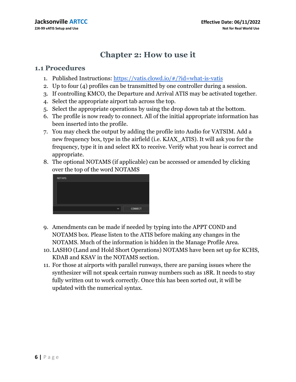## **Chapter 2: How to use it**

#### **1.1 Procedures**

- 1. Published Instructions: <https://vatis.clowd.io/#/?id=what-is-vatis>
- 2. Up to four (4) profiles can be transmitted by one controller during a session.
- 3. If controlling KMCO, the Departure and Arrival ATIS may be activated together.
- 4. Select the appropriate airport tab across the top.
- 5. Select the appropriate operations by using the drop down tab at the bottom.
- 6. The profile is now ready to connect. All of the initial appropriate information has been inserted into the profile.
- 7. You may check the output by adding the profile into Audio for VATSIM. Add a new frequency box, type in the airfield (i.e. KJAX\_ATIS). It will ask you for the frequency, type it in and select RX to receive. Verify what you hear is correct and appropriate.
- 8. The optional NOTAMS (if applicable) can be accessed or amended by clicking over the top of the word NOTAMS



- 9. Amendments can be made if needed by typing into the APPT COND and NOTAMS box. Please listen to the ATIS before making any changes in the NOTAMS. Much of the information is hidden in the Manage Profile Area.
- 10. LASHO (Land and Hold Short Operations) NOTAMS have been set up for KCHS, KDAB and KSAV in the NOTAMS section.
- 11. For those at airports with parallel runways, there are parsing issues where the synthesizer will not speak certain runway numbers such as 18R. It needs to stay fully written out to work correctly. Once this has been sorted out, it will be updated with the numerical syntax.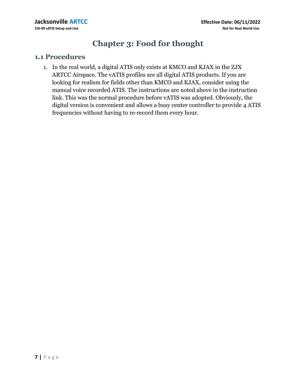## **Chapter 3: Food for thought**

#### **1.1 Procedures**

1. In the real world, a digital ATIS only exists at KMCO and KJAX in the ZJX ARTCC Airspace. The vATIS profiles are all digital ATIS products. If you are looking for realism for fields other than KMCO and KJAX, consider using the manual voice recorded ATIS. The instructions are noted above in the instruction link. This was the normal procedure before vATIS was adopted. Obviously, the digital version is convenient and allows a busy center controller to provide 4 ATIS frequencies without having to re-record them every hour.